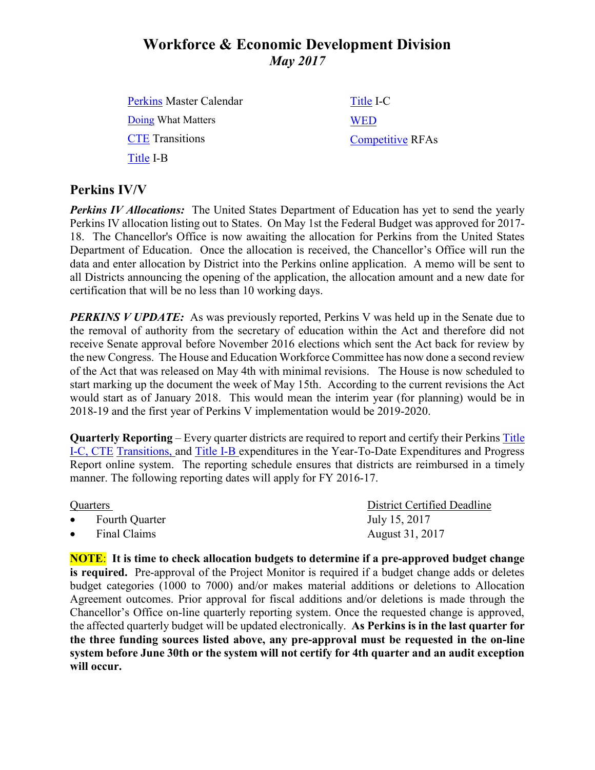# **Workforce & Economic Development Division** *May 2017*

| <b>Perkins Master Calendar</b> | Title I-C               |
|--------------------------------|-------------------------|
| Doing What Matters             | <b>WED</b>              |
| <b>CTE</b> Transitions         | <b>Competitive RFAs</b> |
| Title I-B                      |                         |

## **Perkins IV/V**

*Perkins IV Allocations:* The United States Department of Education has yet to send the yearly Perkins IV allocation listing out to States. On May 1st the Federal Budget was approved for 2017- 18. The Chancellor's Office is now awaiting the allocation for Perkins from the United States Department of Education. Once the allocation is received, the Chancellor's Office will run the data and enter allocation by District into the Perkins online application. A memo will be sent to all Districts announcing the opening of the application, the allocation amount and a new date for certification that will be no less than 10 working days.

*PERKINS V UPDATE:* As was previously reported, Perkins V was held up in the Senate due to the removal of authority from the secretary of education within the Act and therefore did not receive Senate approval before November 2016 elections which sent the Act back for review by the new Congress. The House and Education Workforce Committee has now done a second review of the Act that was released on May 4th with minimal revisions. The House is now scheduled to start marking up the document the week of May 15th. According to the current revisions the Act would start as of January 2018. This would mean the interim year (for planning) would be in 2018-19 and the first year of Perkins V implementation would be 2019-2020.

**Quarterly Reporting** – Every quarter districts are required to report and certify their Perkins [Title](https://misweb02.cccco.edu/vtea/dba/logon.cfm) I-C, [CTE](https://misweb02.cccco.edu/ctetransitions/prod/logon.cfm) Transitions, and [Title](https://misweb02.cccco.edu/vteaib/prod/logon.cfm) I-B expenditures in the Year-To-Date Expenditures and Progress Report online system. The reporting schedule ensures that districts are reimbursed in a timely manner. The following reporting dates will apply for FY 2016-17.

- 
- 

Quarters District Certified Deadline Fourth Quarter July 15, 2017 Final Claims August 31, 2017

**NOTE**: **It is time to check allocation budgets to determine if a pre-approved budget change is required.** Pre-approval of the Project Monitor is required if a budget change adds or deletes budget categories (1000 to 7000) and/or makes material additions or deletions to Allocation Agreement outcomes. Prior approval for fiscal additions and/or deletions is made through the Chancellor's Office on-line quarterly reporting system. Once the requested change is approved, the affected quarterly budget will be updated electronically. **As Perkins is in the last quarter for the three funding sources listed above, any pre-approval must be requested in the on-line system before June 30th or the system will not certify for 4th quarter and an audit exception will occur.**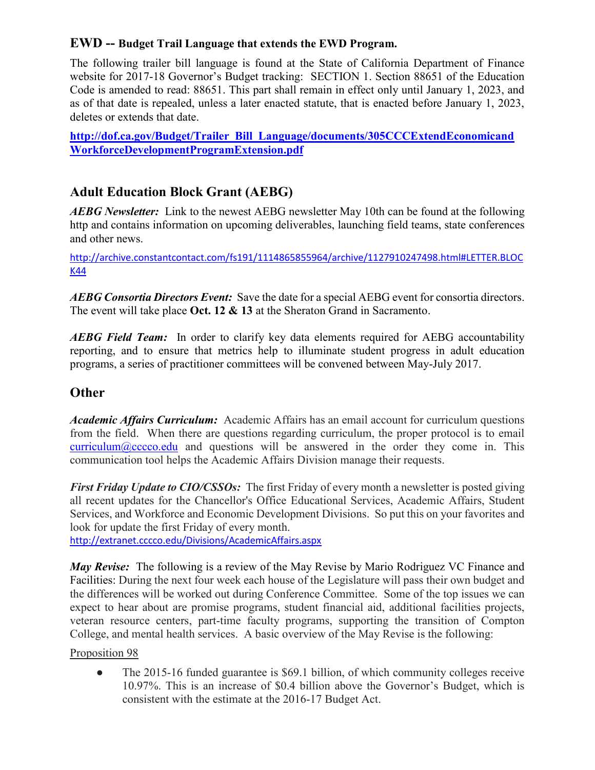## **EWD -- Budget Trail Language that extends the EWD Program.**

The following trailer bill language is found at the State of California Department of Finance website for 2017-18 Governor's Budget tracking: SECTION 1. Section 88651 of the Education Code is amended to read: 88651. This part shall remain in effect only until January 1, 2023, and as of that date is repealed, unless a later enacted statute, that is enacted before January 1, 2023, deletes or extends that date.

**[http://dof.ca.gov/Budget/Trailer\\_Bill\\_Language/documents/305CCCExtendEconomicand](http://dof.ca.gov/Budget/Trailer_Bill_Language/documents/305CCCExtendEconomicandWorkforceDevelopmentProgramExtension.pdf) [WorkforceDevelopmentProgramExtension.pdf](http://dof.ca.gov/Budget/Trailer_Bill_Language/documents/305CCCExtendEconomicandWorkforceDevelopmentProgramExtension.pdf)**

## **Adult Education Block Grant (AEBG)**

*AEBG Newsletter:* Link to the newest AEBG newsletter May 10th can be found at the following http and contains information on upcoming deliverables, launching field teams, state conferences and other news.

[http://archive.constantcontact.com/fs191/1114865855964/archive/1127910247498.html#LETTER.BLOC](http://archive.constantcontact.com/fs191/1114865855964/archive/1127910247498.html#LETTER.BLOCK44) [K44](http://archive.constantcontact.com/fs191/1114865855964/archive/1127910247498.html#LETTER.BLOCK44)

*AEBG Consortia Directors Event:* Save the date for a special AEBG event for consortia directors. The event will take place **Oct. 12 & 13** at the Sheraton Grand in Sacramento.

*AEBG Field Team:* In order to clarify key data elements required for AEBG accountability reporting, and to ensure that metrics help to illuminate student progress in adult education programs, a series of practitioner committees will be convened between May-July 2017.

## **Other**

*Academic Affairs Curriculum:* Academic Affairs has an email account for curriculum questions from the field. When there are questions regarding curriculum, the proper protocol is to email [curriculum@cccco.edu](mailto:curriculum@cccco.edu) and questions will be answered in the order they come in. This communication tool helps the Academic Affairs Division manage their requests.

*First Friday Update to CIO/CSSOs:* The first Friday of every month a newsletter is posted giving all recent updates for the Chancellor's Office Educational Services, Academic Affairs, Student Services, and Workforce and Economic Development Divisions. So put this on your favorites and look for update the first Friday of every month.

<http://extranet.cccco.edu/Divisions/AcademicAffairs.aspx>

*May Revise:* The following is a review of the May Revise by Mario Rodriguez VC Finance and Facilities: During the next four week each house of the Legislature will pass their own budget and the differences will be worked out during Conference Committee. Some of the top issues we can expect to hear about are promise programs, student financial aid, additional facilities projects, veteran resource centers, part-time faculty programs, supporting the transition of Compton College, and mental health services. A basic overview of the May Revise is the following:

#### Proposition 98

• The 2015-16 funded guarantee is \$69.1 billion, of which community colleges receive 10.97%. This is an increase of \$0.4 billion above the Governor's Budget, which is consistent with the estimate at the 2016-17 Budget Act.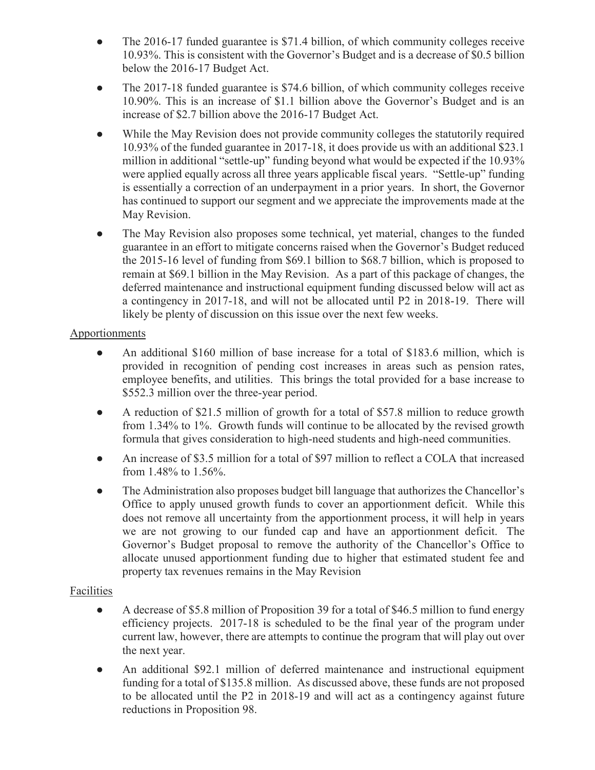- The 2016-17 funded guarantee is \$71.4 billion, of which community colleges receive 10.93%. This is consistent with the Governor's Budget and is a decrease of \$0.5 billion below the 2016-17 Budget Act.
- The 2017-18 funded guarantee is \$74.6 billion, of which community colleges receive 10.90%. This is an increase of \$1.1 billion above the Governor's Budget and is an increase of \$2.7 billion above the 2016-17 Budget Act.
- While the May Revision does not provide community colleges the statutorily required 10.93% of the funded guarantee in 2017-18, it does provide us with an additional \$23.1 million in additional "settle-up" funding beyond what would be expected if the 10.93% were applied equally across all three years applicable fiscal years. "Settle-up" funding is essentially a correction of an underpayment in a prior years. In short, the Governor has continued to support our segment and we appreciate the improvements made at the May Revision.
- The May Revision also proposes some technical, yet material, changes to the funded guarantee in an effort to mitigate concerns raised when the Governor's Budget reduced the 2015-16 level of funding from \$69.1 billion to \$68.7 billion, which is proposed to remain at \$69.1 billion in the May Revision. As a part of this package of changes, the deferred maintenance and instructional equipment funding discussed below will act as a contingency in 2017-18, and will not be allocated until P2 in 2018-19. There will likely be plenty of discussion on this issue over the next few weeks.

#### Apportionments

- An additional \$160 million of base increase for a total of \$183.6 million, which is provided in recognition of pending cost increases in areas such as pension rates, employee benefits, and utilities. This brings the total provided for a base increase to \$552.3 million over the three-year period.
- A reduction of \$21.5 million of growth for a total of \$57.8 million to reduce growth from 1.34% to 1%. Growth funds will continue to be allocated by the revised growth formula that gives consideration to high-need students and high-need communities.
- An increase of \$3.5 million for a total of \$97 million to reflect a COLA that increased from 1.48% to 1.56%.
- The Administration also proposes budget bill language that authorizes the Chancellor's Office to apply unused growth funds to cover an apportionment deficit. While this does not remove all uncertainty from the apportionment process, it will help in years we are not growing to our funded cap and have an apportionment deficit. The Governor's Budget proposal to remove the authority of the Chancellor's Office to allocate unused apportionment funding due to higher that estimated student fee and property tax revenues remains in the May Revision

#### Facilities

- A decrease of \$5.8 million of Proposition 39 for a total of \$46.5 million to fund energy efficiency projects. 2017-18 is scheduled to be the final year of the program under current law, however, there are attempts to continue the program that will play out over the next year.
- An additional \$92.1 million of deferred maintenance and instructional equipment funding for a total of \$135.8 million. As discussed above, these funds are not proposed to be allocated until the P2 in 2018-19 and will act as a contingency against future reductions in Proposition 98.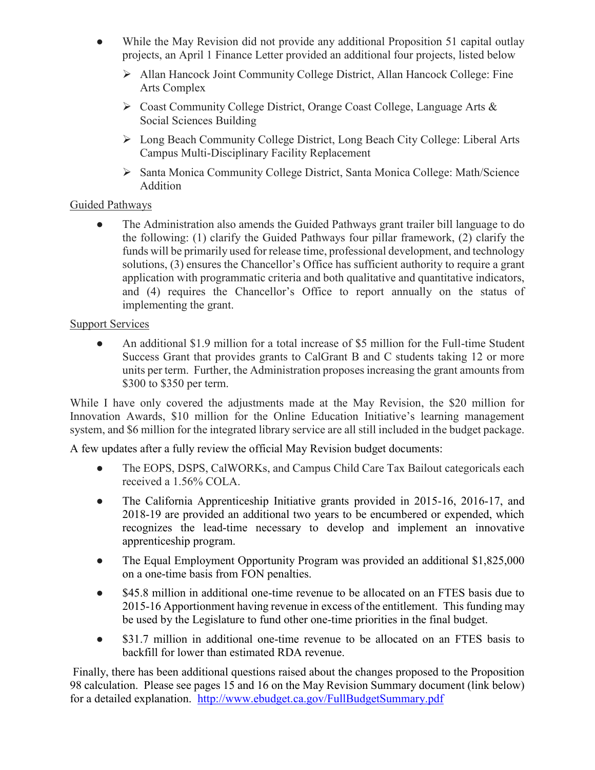- While the May Revision did not provide any additional Proposition 51 capital outlay projects, an April 1 Finance Letter provided an additional four projects, listed below
	- Allan Hancock Joint Community College District, Allan Hancock College: Fine Arts Complex
	- Coast Community College District, Orange Coast College, Language Arts & Social Sciences Building
	- Long Beach Community College District, Long Beach City College: Liberal Arts Campus Multi-Disciplinary Facility Replacement
	- Santa Monica Community College District, Santa Monica College: Math/Science Addition

#### Guided Pathways

• The Administration also amends the Guided Pathways grant trailer bill language to do the following: (1) clarify the Guided Pathways four pillar framework, (2) clarify the funds will be primarily used for release time, professional development, and technology solutions, (3) ensures the Chancellor's Office has sufficient authority to require a grant application with programmatic criteria and both qualitative and quantitative indicators, and (4) requires the Chancellor's Office to report annually on the status of implementing the grant.

#### Support Services

● An additional \$1.9 million for a total increase of \$5 million for the Full-time Student Success Grant that provides grants to CalGrant B and C students taking 12 or more units per term. Further, the Administration proposes increasing the grant amounts from \$300 to \$350 per term.

While I have only covered the adjustments made at the May Revision, the \$20 million for Innovation Awards, \$10 million for the Online Education Initiative's learning management system, and \$6 million for the integrated library service are all still included in the budget package.

A few updates after a fully review the official May Revision budget documents:

- The EOPS, DSPS, CalWORKs, and Campus Child Care Tax Bailout categoricals each received a 1.56% COLA.
- The California Apprenticeship Initiative grants provided in 2015-16, 2016-17, and 2018-19 are provided an additional two years to be encumbered or expended, which recognizes the lead-time necessary to develop and implement an innovative apprenticeship program.
- The Equal Employment Opportunity Program was provided an additional \$1,825,000 on a one-time basis from FON penalties.
- \$45.8 million in additional one-time revenue to be allocated on an FTES basis due to 2015-16 Apportionment having revenue in excess of the entitlement. This funding may be used by the Legislature to fund other one-time priorities in the final budget.
- \$31.7 million in additional one-time revenue to be allocated on an FTES basis to backfill for lower than estimated RDA revenue.

Finally, there has been additional questions raised about the changes proposed to the Proposition 98 calculation. Please see pages 15 and 16 on the May Revision Summary document (link below) for a detailed explanation. <http://www.ebudget.ca.gov/FullBudgetSummary.pdf>